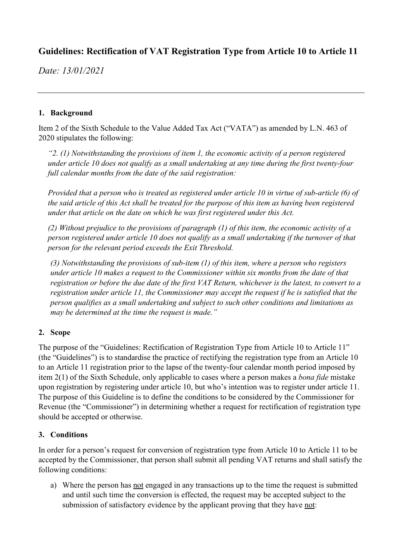# **Guidelines: Rectification of VAT Registration Type from Article 10 to Article 11**

*Date: 13/01/2021*

### **1. Background**

Item 2 of the Sixth Schedule to the Value Added Tax Act ("VATA") as amended by L.N. 463 of 2020 stipulates the following:

*"2. (1) Notwithstanding the provisions of item 1, the economic activity of a person registered under article 10 does not qualify as a small undertaking at any time during the first twenty-four full calendar months from the date of the said registration:*

*Provided that a person who is treated as registered under article 10 in virtue of sub-article (6) of the said article of this Act shall be treated for the purpose of this item as having been registered under that article on the date on which he was first registered under this Act.*

*(2) Without prejudice to the provisions of paragraph (1) of this item, the economic activity of a person registered under article 10 does not qualify as a small undertaking if the turnover of that person for the relevant period exceeds the Exit Threshold.*

*(3) Notwithstanding the provisions of sub-item (1) of this item, where a person who registers under article 10 makes a request to the Commissioner within six months from the date of that registration or before the due date of the first VAT Return, whichever is the latest, to convert to a registration under article 11, the Commissioner may accept the request if he is satisfied that the person qualifies as a small undertaking and subject to such other conditions and limitations as may be determined at the time the request is made."*

## **2. Scope**

The purpose of the "Guidelines: Rectification of Registration Type from Article 10 to Article 11" (the "Guidelines") is to standardise the practice of rectifying the registration type from an Article 10 to an Article 11 registration prior to the lapse of the twenty-four calendar month period imposed by item 2(1) of the Sixth Schedule, only applicable to cases where a person makes a *bona fide* mistake upon registration by registering under article 10, but who's intention was to register under article 11. The purpose of this Guideline is to define the conditions to be considered by the Commissioner for Revenue (the "Commissioner") in determining whether a request for rectification of registration type should be accepted or otherwise.

## **3. Conditions**

In order for a person's request for conversion of registration type from Article 10 to Article 11 to be accepted by the Commissioner, that person shall submit all pending VAT returns and shall satisfy the following conditions:

a) Where the person has not engaged in any transactions up to the time the request is submitted and until such time the conversion is effected, the request may be accepted subject to the submission of satisfactory evidence by the applicant proving that they have not: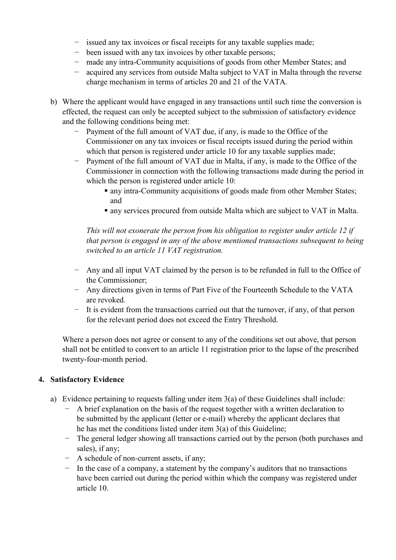- − issued any tax invoices or fiscal receipts for any taxable supplies made;
- − been issued with any tax invoices by other taxable persons;
- − made any intra-Community acquisitions of goods from other Member States; and
- − acquired any services from outside Malta subject to VAT in Malta through the reverse charge mechanism in terms of articles 20 and 21 of the VATA.
- b) Where the applicant would have engaged in any transactions until such time the conversion is effected, the request can only be accepted subject to the submission of satisfactory evidence and the following conditions being met:
	- Payment of the full amount of VAT due, if any, is made to the Office of the Commissioner on any tax invoices or fiscal receipts issued during the period within which that person is registered under article 10 for any taxable supplies made;
	- − Payment of the full amount of VAT due in Malta, if any, is made to the Office of the Commissioner in connection with the following transactions made during the period in which the person is registered under article 10:
		- any intra-Community acquisitions of goods made from other Member States; and
		- any services procured from outside Malta which are subject to VAT in Malta.

*This will not exonerate the person from his obligation to register under article 12 if that person is engaged in any of the above mentioned transactions subsequent to being switched to an article 11 VAT registration.* 

- − Any and all input VAT claimed by the person is to be refunded in full to the Office of the Commissioner;
- − Any directions given in terms of Part Five of the Fourteenth Schedule to the VATA are revoked.
- − It is evident from the transactions carried out that the turnover, if any, of that person for the relevant period does not exceed the Entry Threshold.

Where a person does not agree or consent to any of the conditions set out above, that person shall not be entitled to convert to an article 11 registration prior to the lapse of the prescribed twenty-four-month period.

#### **4. Satisfactory Evidence**

- a) Evidence pertaining to requests falling under item 3(a) of these Guidelines shall include:
	- A brief explanation on the basis of the request together with a written declaration to be submitted by the applicant (letter or e-mail) whereby the applicant declares that he has met the conditions listed under item 3(a) of this Guideline;
	- − The general ledger showing all transactions carried out by the person (both purchases and sales), if any;
	- − A schedule of non-current assets, if any;
	- − In the case of a company, a statement by the company's auditors that no transactions have been carried out during the period within which the company was registered under article 10.